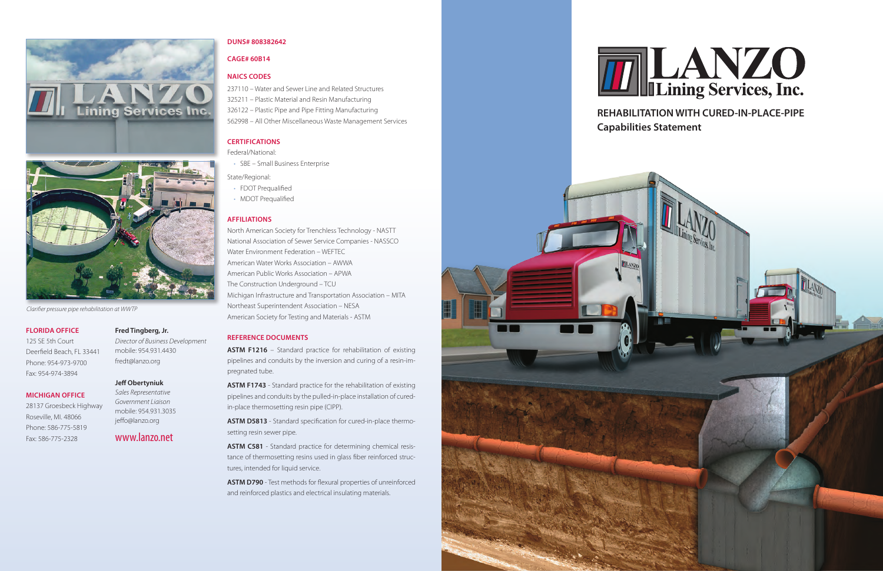# www.lanzo.net

### **FLORIDA OFFICE**

125 SE 5th Court Deerfield Beach, FL 33441 Phone: 954-973-9700 Fax: 954-974-3894

# **MICHIGAN OFFICE**

28137 Groesbeck Highway Roseville, MI. 48066 Phone: 586-775-5819 Fax: 586-775-2328

#### **Fred Tingberg, Jr.**

*Director of Business Development* mobile: 954.931.4430 fredt@lanzo.org

#### **Jeff Obertyniuk**

*Sales Representative Government Liaison* mobile: 954.931.3035 jeffo@lanzo.org

#### **DUNS# 808382642**

# **CAGE# 60B14**

# **NAICS CODES**

237110 – Water and Sewer Line and Related Structures 325211 – Plastic Material and Resin Manufacturing 326122 – Plastic Pipe and Pipe Fitting Manufacturing

562998 – All Other Miscellaneous Waste Management Services

#### **CERTIFICATIONS**

Federal/National:

- SBE Small Business Enterprise
- State/Regional:
- FDOT Prequalified
- MDOT Prequalified

**ASTM F1216** – Standard practice for rehabilitation of existing pipelines and conduits by the inversion and curing of a resin-impregnated tube.

# **AFFILIATIONS**

North American Society for Trenchless Technology - NASTT National Association of Sewer Service Companies - NASSCO Water Environment Federation – WEFTEC American Water Works Association – AWWA American Public Works Association – APWA The Construction Underground – TCU Michigan Infrastructure and Transportation Association – MITA Northeast Superintendent Association – NESA American Society for Testing and Materials - ASTM

## **REFERENCE DOCUMENTS**

**ASTM F1743** - Standard practice for the rehabilitation of existing pipelines and conduits by the pulled-in-place installation of curedin-place thermosetting resin pipe (CIPP).

**ASTM D5813** - Standard specification for cured-in-place thermosetting resin sewer pipe.

**ASTM C581** - Standard practice for determining chemical resistance of thermosetting resins used in glass fiber reinforced structures, intended for liquid service.

**ASTM D790** - Test methods for flexural properties of unreinforced and reinforced plastics and electrical insulating materials.











*Clarifier pressure pipe rehabilitation at WWTP*

# **REHABILITATION WITH CURED-IN-PLACE-PIPE Capabilities Statement**